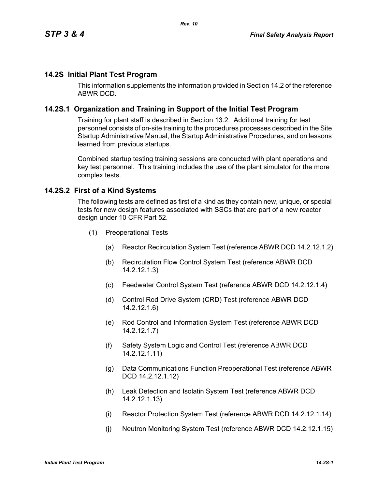## **14.2S Initial Plant Test Program**

This information supplements the information provided in Section 14.2 of the reference ABWR DCD.

### **14.2S.1 Organization and Training in Support of the Initial Test Program**

Training for plant staff is described in Section 13.2. Additional training for test personnel consists of on-site training to the procedures processes described in the Site Startup Administrative Manual, the Startup Administrative Procedures, and on lessons learned from previous startups.

Combined startup testing training sessions are conducted with plant operations and key test personnel. This training includes the use of the plant simulator for the more complex tests.

#### **14.2S.2 First of a Kind Systems**

The following tests are defined as first of a kind as they contain new, unique, or special tests for new design features associated with SSCs that are part of a new reactor design under 10 CFR Part 52.

- (1) Preoperational Tests
	- (a) Reactor Recirculation System Test (reference ABWR DCD 14.2.12.1.2)
	- (b) Recirculation Flow Control System Test (reference ABWR DCD 14.2.12.1.3)
	- (c) Feedwater Control System Test (reference ABWR DCD 14.2.12.1.4)
	- (d) Control Rod Drive System (CRD) Test (reference ABWR DCD 14.2.12.1.6)
	- (e) Rod Control and Information System Test (reference ABWR DCD 14.2.12.1.7)
	- (f) Safety System Logic and Control Test (reference ABWR DCD 14.2.12.1.11)
	- (g) Data Communications Function Preoperational Test (reference ABWR DCD 14.2.12.1.12)
	- (h) Leak Detection and Isolatin System Test (reference ABWR DCD 14.2.12.1.13)
	- (i) Reactor Protection System Test (reference ABWR DCD 14.2.12.1.14)
	- (j) Neutron Monitoring System Test (reference ABWR DCD 14.2.12.1.15)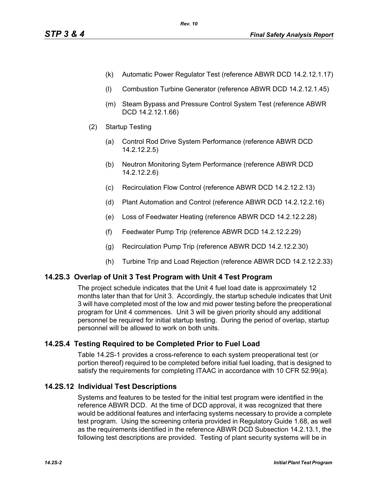- (k) Automatic Power Regulator Test (reference ABWR DCD 14.2.12.1.17)
- (l) Combustion Turbine Generator (reference ABWR DCD 14.2.12.1.45)
- (m) Steam Bypass and Pressure Control System Test (reference ABWR DCD 14.2.12.1.66)
- (2) Startup Testing
	- (a) Control Rod Drive System Performance (reference ABWR DCD 14.2.12.2.5)
	- (b) Neutron Monitoring Sytem Performance (reference ABWR DCD 14.2.12.2.6)
	- (c) Recirculation Flow Control (reference ABWR DCD 14.2.12.2.13)
	- (d) Plant Automation and Control (reference ABWR DCD 14.2.12.2.16)
	- (e) Loss of Feedwater Heating (reference ABWR DCD 14.2.12.2.28)
	- (f) Feedwater Pump Trip (reference ABWR DCD 14.2.12.2.29)
	- (g) Recirculation Pump Trip (reference ABWR DCD 14.2.12.2.30)
	- (h) Turbine Trip and Load Rejection (reference ABWR DCD 14.2.12.2.33)

# **14.2S.3 Overlap of Unit 3 Test Program with Unit 4 Test Program**

The project schedule indicates that the Unit 4 fuel load date is approximately 12 months later than that for Unit 3. Accordingly, the startup schedule indicates that Unit 3 will have completed most of the low and mid power testing before the preoperational program for Unit 4 commences. Unit 3 will be given priority should any additional personnel be required for initial startup testing. During the period of overlap, startup personnel will be allowed to work on both units.

# **14.2S.4 Testing Required to be Completed Prior to Fuel Load**

Table 14.2S-1 provides a cross-reference to each system preoperational test (or portion thereof) required to be completed before initial fuel loading, that is designed to satisfy the requirements for completing ITAAC in accordance with 10 CFR 52.99(a).

# **14.2S.12 Individual Test Descriptions**

Systems and features to be tested for the initial test program were identified in the reference ABWR DCD. At the time of DCD approval, it was recognized that there would be additional features and interfacing systems necessary to provide a complete test program. Using the screening criteria provided in Regulatory Guide 1.68, as well as the requirements identified in the reference ABWR DCD Subsection 14.2.13.1, the following test descriptions are provided. Testing of plant security systems will be in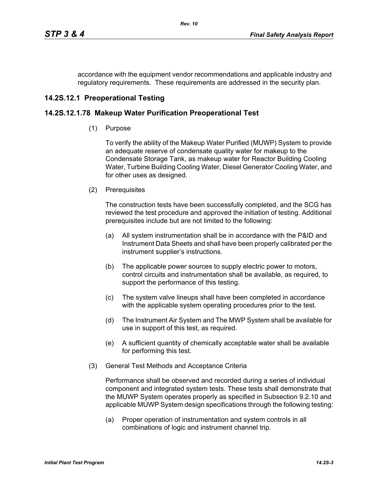accordance with the equipment vendor recommendations and applicable industry and regulatory requirements. These requirements are addressed in the security plan.

# **14.2S.12.1 Preoperational Testing**

# **14.2S.12.1.78 Makeup Water Purification Preoperational Test**

(1) Purpose

To verify the ability of the Makeup Water Purified (MUWP) System to provide an adequate reserve of condensate quality water for makeup to the Condensate Storage Tank, as makeup water for Reactor Building Cooling Water, Turbine Building Cooling Water, Diesel Generator Cooling Water, and for other uses as designed.

(2) Prerequisites

The construction tests have been successfully completed, and the SCG has reviewed the test procedure and approved the initiation of testing. Additional prerequisites include but are not limited to the following:

- (a) All system instrumentation shall be in accordance with the P&ID and Instrument Data Sheets and shall have been properly calibrated per the instrument supplier's instructions.
- (b) The applicable power sources to supply electric power to motors, control circuits and instrumentation shall be available, as required, to support the performance of this testing.
- (c) The system valve lineups shall have been completed in accordance with the applicable system operating procedures prior to the test.
- (d) The Instrument Air System and The MWP System shall be available for use in support of this test, as required.
- (e) A sufficient quantity of chemically acceptable water shall be available for performing this test.
- (3) General Test Methods and Acceptance Criteria

Performance shall be observed and recorded during a series of individual component and integrated system tests. These tests shall demonstrate that the MUWP System operates properly as specified in Subsection 9.2.10 and applicable MUWP System design specifications through the following testing:

(a) Proper operation of instrumentation and system controls in all combinations of logic and instrument channel trip.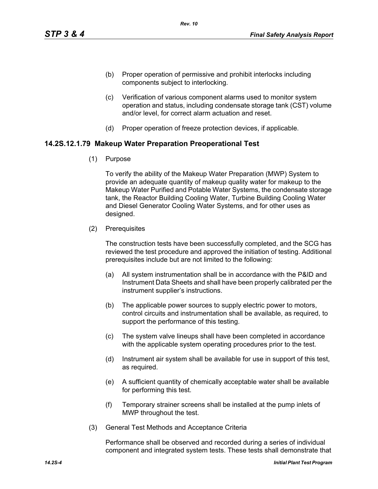- (b) Proper operation of permissive and prohibit interlocks including components subject to interlocking.
- (c) Verification of various component alarms used to monitor system operation and status, including condensate storage tank (CST) volume and/or level, for correct alarm actuation and reset.
- (d) Proper operation of freeze protection devices, if applicable.

### **14.2S.12.1.79 Makeup Water Preparation Preoperational Test**

(1) Purpose

To verify the ability of the Makeup Water Preparation (MWP) System to provide an adequate quantity of makeup quality water for makeup to the Makeup Water Purified and Potable Water Systems, the condensate storage tank, the Reactor Building Cooling Water, Turbine Building Cooling Water and Diesel Generator Cooling Water Systems, and for other uses as designed.

(2) Prerequisites

The construction tests have been successfully completed, and the SCG has reviewed the test procedure and approved the initiation of testing. Additional prerequisites include but are not limited to the following:

- (a) All system instrumentation shall be in accordance with the P&ID and Instrument Data Sheets and shall have been properly calibrated per the instrument supplier's instructions.
- (b) The applicable power sources to supply electric power to motors, control circuits and instrumentation shall be available, as required, to support the performance of this testing.
- (c) The system valve lineups shall have been completed in accordance with the applicable system operating procedures prior to the test.
- (d) Instrument air system shall be available for use in support of this test, as required.
- (e) A sufficient quantity of chemically acceptable water shall be available for performing this test.
- (f) Temporary strainer screens shall be installed at the pump inlets of MWP throughout the test.
- (3) General Test Methods and Acceptance Criteria

Performance shall be observed and recorded during a series of individual component and integrated system tests. These tests shall demonstrate that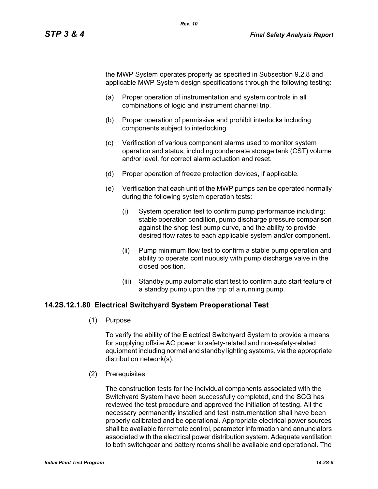the MWP System operates properly as specified in Subsection 9.2.8 and applicable MWP System design specifications through the following testing:

- (a) Proper operation of instrumentation and system controls in all combinations of logic and instrument channel trip.
- (b) Proper operation of permissive and prohibit interlocks including components subject to interlocking.
- (c) Verification of various component alarms used to monitor system operation and status, including condensate storage tank (CST) volume and/or level, for correct alarm actuation and reset.
- (d) Proper operation of freeze protection devices, if applicable.
- (e) Verification that each unit of the MWP pumps can be operated normally during the following system operation tests:
	- (i) System operation test to confirm pump performance including: stable operation condition, pump discharge pressure comparison against the shop test pump curve, and the ability to provide desired flow rates to each applicable system and/or component.
	- (ii) Pump minimum flow test to confirm a stable pump operation and ability to operate continuously with pump discharge valve in the closed position.
	- (iii) Standby pump automatic start test to confirm auto start feature of a standby pump upon the trip of a running pump.

## **14.2S.12.1.80 Electrical Switchyard System Preoperational Test**

(1) Purpose

To verify the ability of the Electrical Switchyard System to provide a means for supplying offsite AC power to safety-related and non-safety-related equipment including normal and standby lighting systems, via the appropriate distribution network(s).

(2) Prerequisites

The construction tests for the individual components associated with the Switchyard System have been successfully completed, and the SCG has reviewed the test procedure and approved the initiation of testing. All the necessary permanently installed and test instrumentation shall have been properly calibrated and be operational. Appropriate electrical power sources shall be available for remote control, parameter information and annunciators associated with the electrical power distribution system. Adequate ventilation to both switchgear and battery rooms shall be available and operational. The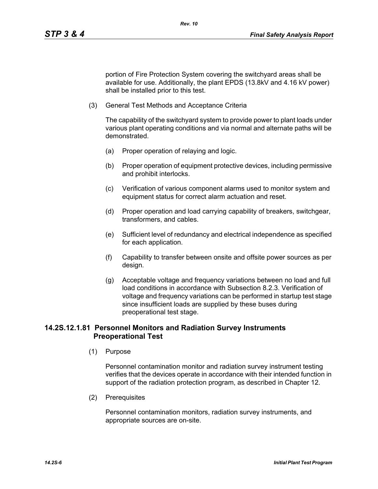portion of Fire Protection System covering the switchyard areas shall be available for use. Additionally, the plant EPDS (13.8kV and 4.16 kV power) shall be installed prior to this test.

(3) General Test Methods and Acceptance Criteria

The capability of the switchyard system to provide power to plant loads under various plant operating conditions and via normal and alternate paths will be demonstrated.

- (a) Proper operation of relaying and logic.
- (b) Proper operation of equipment protective devices, including permissive and prohibit interlocks.
- (c) Verification of various component alarms used to monitor system and equipment status for correct alarm actuation and reset.
- (d) Proper operation and load carrying capability of breakers, switchgear, transformers, and cables.
- (e) Sufficient level of redundancy and electrical independence as specified for each application.
- (f) Capability to transfer between onsite and offsite power sources as per design.
- (g) Acceptable voltage and frequency variations between no load and full load conditions in accordance with Subsection 8.2.3. Verification of voltage and frequency variations can be performed in startup test stage since insufficient loads are supplied by these buses during preoperational test stage.

# **14.2S.12.1.81 Personnel Monitors and Radiation Survey Instruments Preoperational Test**

(1) Purpose

Personnel contamination monitor and radiation survey instrument testing verifies that the devices operate in accordance with their intended function in support of the radiation protection program, as described in Chapter 12.

(2) Prerequisites

Personnel contamination monitors, radiation survey instruments, and appropriate sources are on-site.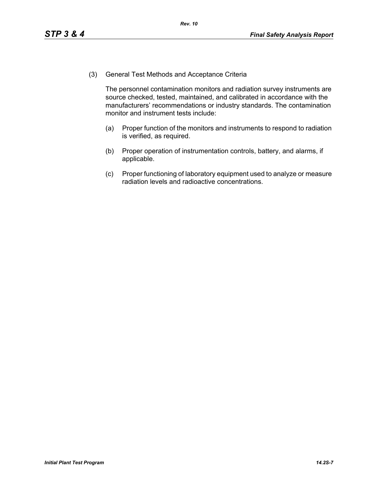(3) General Test Methods and Acceptance Criteria

The personnel contamination monitors and radiation survey instruments are source checked, tested, maintained, and calibrated in accordance with the manufacturers' recommendations or industry standards. The contamination monitor and instrument tests include:

- (a) Proper function of the monitors and instruments to respond to radiation is verified, as required.
- (b) Proper operation of instrumentation controls, battery, and alarms, if applicable.
- (c) Proper functioning of laboratory equipment used to analyze or measure radiation levels and radioactive concentrations.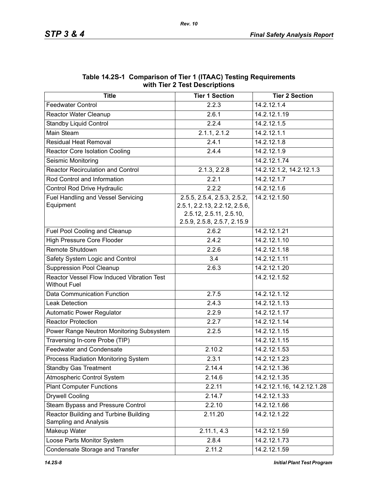| WILII IIGI 4 IGSL DESCHIPLIONS                                    |                                      |                            |  |  |  |  |  |
|-------------------------------------------------------------------|--------------------------------------|----------------------------|--|--|--|--|--|
| <b>Title</b>                                                      | <b>Tier 1 Section</b>                | <b>Tier 2 Section</b>      |  |  |  |  |  |
| <b>Feedwater Control</b>                                          | 2.2.3                                | 14.2.12.1.4                |  |  |  |  |  |
| <b>Reactor Water Cleanup</b>                                      | 2.6.1                                | 14.2.12.1.19               |  |  |  |  |  |
| <b>Standby Liquid Control</b>                                     | 2.2.4                                | 14.2.12.1.5                |  |  |  |  |  |
| Main Steam                                                        | 2.1.1, 2.1.2                         | 14.2.12.1.1                |  |  |  |  |  |
| <b>Residual Heat Removal</b>                                      | 2.4.1                                | 14.2.12.1.8                |  |  |  |  |  |
| <b>Reactor Core Isolation Cooling</b>                             | 2.4.4                                | 14.2.12.1.9                |  |  |  |  |  |
| Seismic Monitoring                                                |                                      | 14.2.12.1.74               |  |  |  |  |  |
| <b>Reactor Recirculation and Control</b>                          | 2.1.3, 2.2.8                         | 14.2.12.1.2, 14.2.12.1.3   |  |  |  |  |  |
| Rod Control and Information                                       | 2.2.1                                | 14.2.12.1.7                |  |  |  |  |  |
| Control Rod Drive Hydraulic                                       | 2.2.2                                | 14.2.12.1.6                |  |  |  |  |  |
| <b>Fuel Handling and Vessel Servicing</b>                         | 2.5.5, 2.5.4, 2.5.3, 2.5.2,          | 14.2.12.1.50               |  |  |  |  |  |
| Equipment                                                         | 2.5.1, 2.2.13, 2.2.12, 2.5.6,        |                            |  |  |  |  |  |
|                                                                   | 2.5.12, 2.5.11, 2.5.10,              |                            |  |  |  |  |  |
|                                                                   | 2.5.9, 2.5.8, 2.5.7, 2.15.9<br>2.6.2 | 14.2.12.1.21               |  |  |  |  |  |
| Fuel Pool Cooling and Cleanup                                     | 2.4.2                                | 14.2.12.1.10               |  |  |  |  |  |
| <b>High Pressure Core Flooder</b>                                 |                                      |                            |  |  |  |  |  |
| Remote Shutdown                                                   | 2.2.6                                | 14.2.12.1.18               |  |  |  |  |  |
| Safety System Logic and Control                                   | 3.4                                  | 14.2.12.1.11               |  |  |  |  |  |
| <b>Suppression Pool Cleanup</b>                                   | 2.6.3                                | 14.2.12.1.20               |  |  |  |  |  |
| Reactor Vessel Flow Induced Vibration Test<br><b>Without Fuel</b> |                                      | 14.2.12.1.52               |  |  |  |  |  |
| Data Communication Function                                       | 2.7.5                                | 14.2.12.1.12               |  |  |  |  |  |
| <b>Leak Detection</b>                                             | 2.4.3                                | 14.2.12.1.13               |  |  |  |  |  |
| Automatic Power Regulator                                         | 2.2.9                                | 14.2.12.1.17               |  |  |  |  |  |
| <b>Reactor Protection</b>                                         | 2.2.7                                | 14.2.12.1.14               |  |  |  |  |  |
| Power Range Neutron Monitoring Subsystem                          | 2.2.5                                | 14.2.12.1.15               |  |  |  |  |  |
| Traversing In-core Probe (TIP)                                    |                                      | 14.2.12.1.15               |  |  |  |  |  |
| <b>Feedwater and Condensate</b>                                   | 2.10.2                               | 14.2.12.1.53               |  |  |  |  |  |
| Process Radiation Monitoring System                               | 2.3.1                                | 14.2.12.1.23               |  |  |  |  |  |
| <b>Standby Gas Treatment</b>                                      | 2.14.4                               | 14.2.12.1.36               |  |  |  |  |  |
| Atmospheric Control System                                        | 2.14.6                               | 14.2.12.1.35               |  |  |  |  |  |
| <b>Plant Computer Functions</b>                                   | 2.2.11                               | 14.2.12.1.16, 14.2.12.1.28 |  |  |  |  |  |
| <b>Drywell Cooling</b>                                            | 2.14.7                               | 14.2.12.1.33               |  |  |  |  |  |
| Steam Bypass and Pressure Control                                 | 2.2.10                               | 14.2.12.1.66               |  |  |  |  |  |
| Reactor Building and Turbine Building<br>Sampling and Analysis    | 2.11.20                              | 14.2.12.1.22               |  |  |  |  |  |
| Makeup Water                                                      | 2.11.1, 4.3                          | 14.2.12.1.59               |  |  |  |  |  |
| Loose Parts Monitor System                                        | 2.8.4                                | 14.2.12.1.73               |  |  |  |  |  |
| Condensate Storage and Transfer                                   | 2.11.2                               | 14.2.12.1.59               |  |  |  |  |  |

### **Table 14.2S-1 Comparison of Tier 1 (ITAAC) Testing Requirements with Tier 2 Test Descriptions**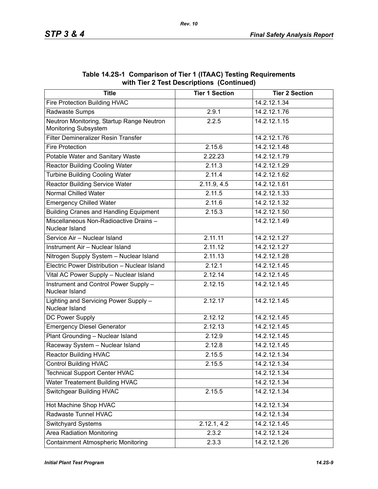| <b>Title</b>                                                      | <b>Tier 1 Section</b> | <b>Tier 2 Section</b> |
|-------------------------------------------------------------------|-----------------------|-----------------------|
| Fire Protection Building HVAC                                     |                       | 14.2.12.1.34          |
| Radwaste Sumps                                                    | 2.9.1                 | 14.2.12.1.76          |
| Neutron Monitoring, Startup Range Neutron<br>Monitoring Subsystem | 2.2.5                 | 14.2.12.1.15          |
| Filter Demineralizer Resin Transfer                               |                       | 14.2.12.1.76          |
| <b>Fire Protection</b>                                            | 2.15.6                | 14.2.12.1.48          |
| Potable Water and Sanitary Waste                                  | 2.22.23               | 14.2.12.1.79          |
| <b>Reactor Building Cooling Water</b>                             | 2.11.3                | 14.2.12.1.29          |
| <b>Turbine Building Cooling Water</b>                             | 2.11.4                | 14.2.12.1.62          |
| <b>Reactor Building Service Water</b>                             | 2.11.9, 4.5           | 14.2.12.1.61          |
| <b>Normal Chilled Water</b>                                       | 2.11.5                | 14.2.12.1.33          |
| <b>Emergency Chilled Water</b>                                    | 2.11.6                | 14.2.12.1.32          |
| <b>Building Cranes and Handling Equipment</b>                     | 2.15.3                | 14.2.12.1.50          |
| Miscellaneous Non-Radioactive Drains-<br>Nuclear Island           |                       | 14.2.12.1.49          |
| Service Air - Nuclear Island                                      | 2.11.11               | 14.2.12.1.27          |
| Instrument Air - Nuclear Island                                   | 2.11.12               | 14.2.12.1.27          |
| Nitrogen Supply System - Nuclear Island                           | 2.11.13               | 14.2.12.1.28          |
| Electric Power Distribution - Nuclear Island                      | 2.12.1                | 14.2.12.1.45          |
| Vital AC Power Supply - Nuclear Island                            | 2.12.14               | 14.2.12.1.45          |
| Instrument and Control Power Supply -<br>Nuclear Island           | 2.12.15               | 14.2.12.1.45          |
| Lighting and Servicing Power Supply -<br>Nuclear Island           | 2.12.17               | 14.2.12.1.45          |
| DC Power Supply                                                   | 2.12.12               | 14.2.12.1.45          |
| <b>Emergency Diesel Generator</b>                                 | 2.12.13               | 14.2.12.1.45          |
| Plant Grounding - Nuclear Island                                  | 2.12.9                | 14.2.12.1.45          |
| Raceway System - Nuclear Island                                   | 2.12.8                | 14.2.12.1.45          |
| <b>Reactor Building HVAC</b>                                      | 2.15.5                | 14.2.12.1.34          |
| <b>Control Building HVAC</b>                                      | 2.15.5                | 14.2.12.1.34          |
| <b>Technical Support Center HVAC</b>                              |                       | 14.2.12.1.34          |
| <b>Water Treatement Building HVAC</b>                             |                       | 14.2.12.1.34          |
| <b>Switchgear Building HVAC</b>                                   | 2.15.5                | 14.2.12.1.34          |
| Hot Machine Shop HVAC                                             |                       | 14.2.12.1.34          |
| Radwaste Tunnel HVAC                                              |                       | 14.2.12.1.34          |
| <b>Switchyard Systems</b>                                         | 2.12.1, 4.2           | 14.2.12.1.45          |
| Area Radiation Monitoring                                         | 2.3.2                 | 14.2.12.1.24          |
| <b>Containment Atmospheric Monitoring</b>                         | 2.3.3                 | 14.2.12.1.26          |

**Table 14.2S-1 Comparison of Tier 1 (ITAAC) Testing Requirements with Tier 2 Test Descriptions (Continued)**